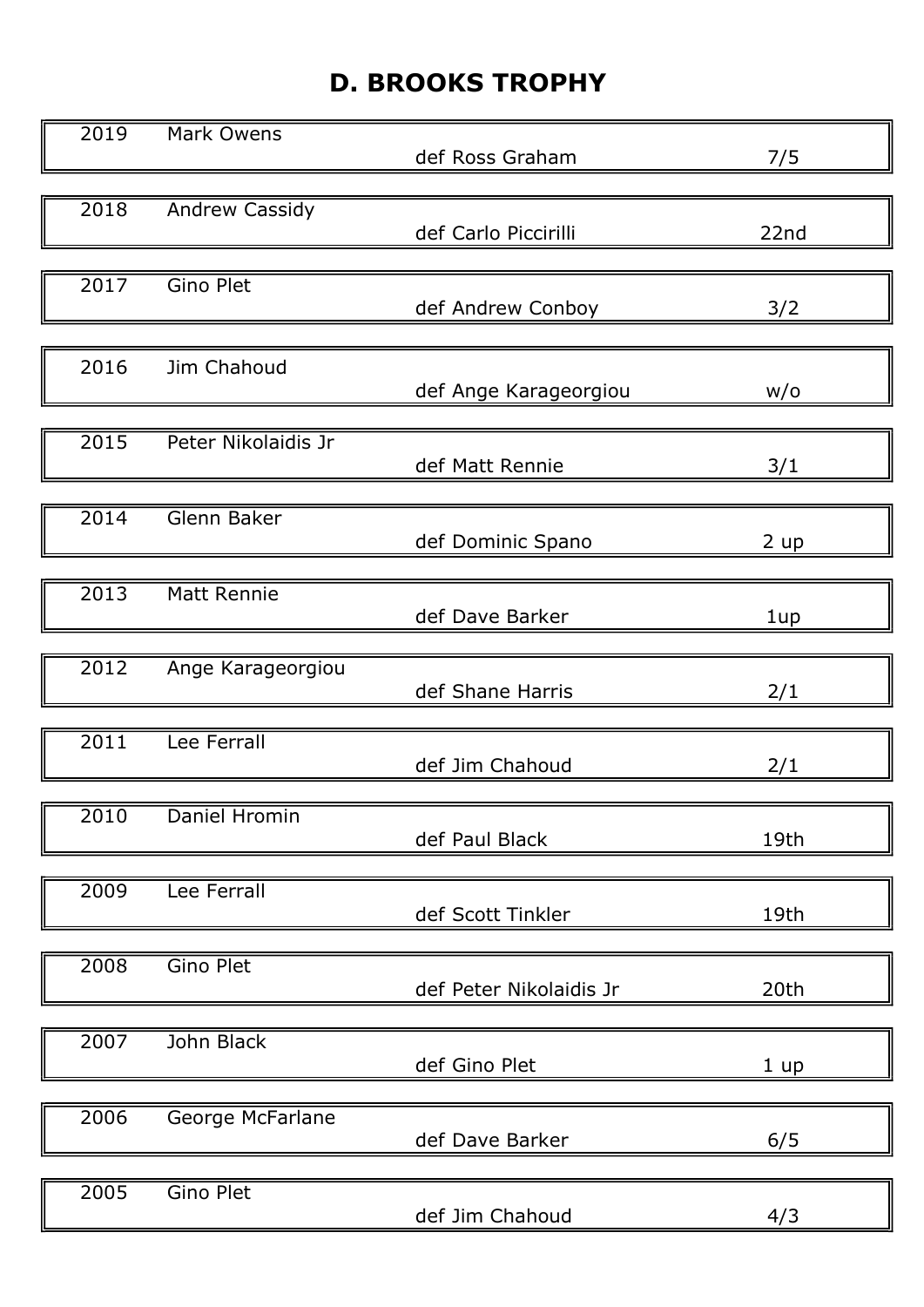## D. BROOKS TROPHY

| 2019              | Mark Owens          | def Ross Graham         | 7/5  |
|-------------------|---------------------|-------------------------|------|
|                   |                     |                         |      |
| 2018              | Andrew Cassidy      | def Carlo Piccirilli    | 22nd |
| 2017              | Gino Plet           | def Andrew Conboy       | 3/2  |
| 2016              | Jim Chahoud         | def Ange Karageorgiou   | W/O  |
| $\overline{2015}$ | Peter Nikolaidis Jr | def Matt Rennie         | 3/1  |
| 2014              | Glenn Baker         | def Dominic Spano       | 2 up |
| 2013              | Matt Rennie         | def Dave Barker         | 1up  |
| 2012              | Ange Karageorgiou   | def Shane Harris        | 2/1  |
| 2011              | Lee Ferrall         | def Jim Chahoud         | 2/1  |
| IĖ<br>2010        | Daniel Hromin       | def Paul Black          | 19th |
| 2009              | Lee Ferrall         | def Scott Tinkler       | 19th |
| 2008              | <b>Gino Plet</b>    | def Peter Nikolaidis Jr | 20th |
| 2007              | John Black          | def Gino Plet           | 1 up |
| 2006              | George McFarlane    | def Dave Barker         | 6/5  |
| 2005              | Gino Plet           | def Jim Chahoud         | 4/3  |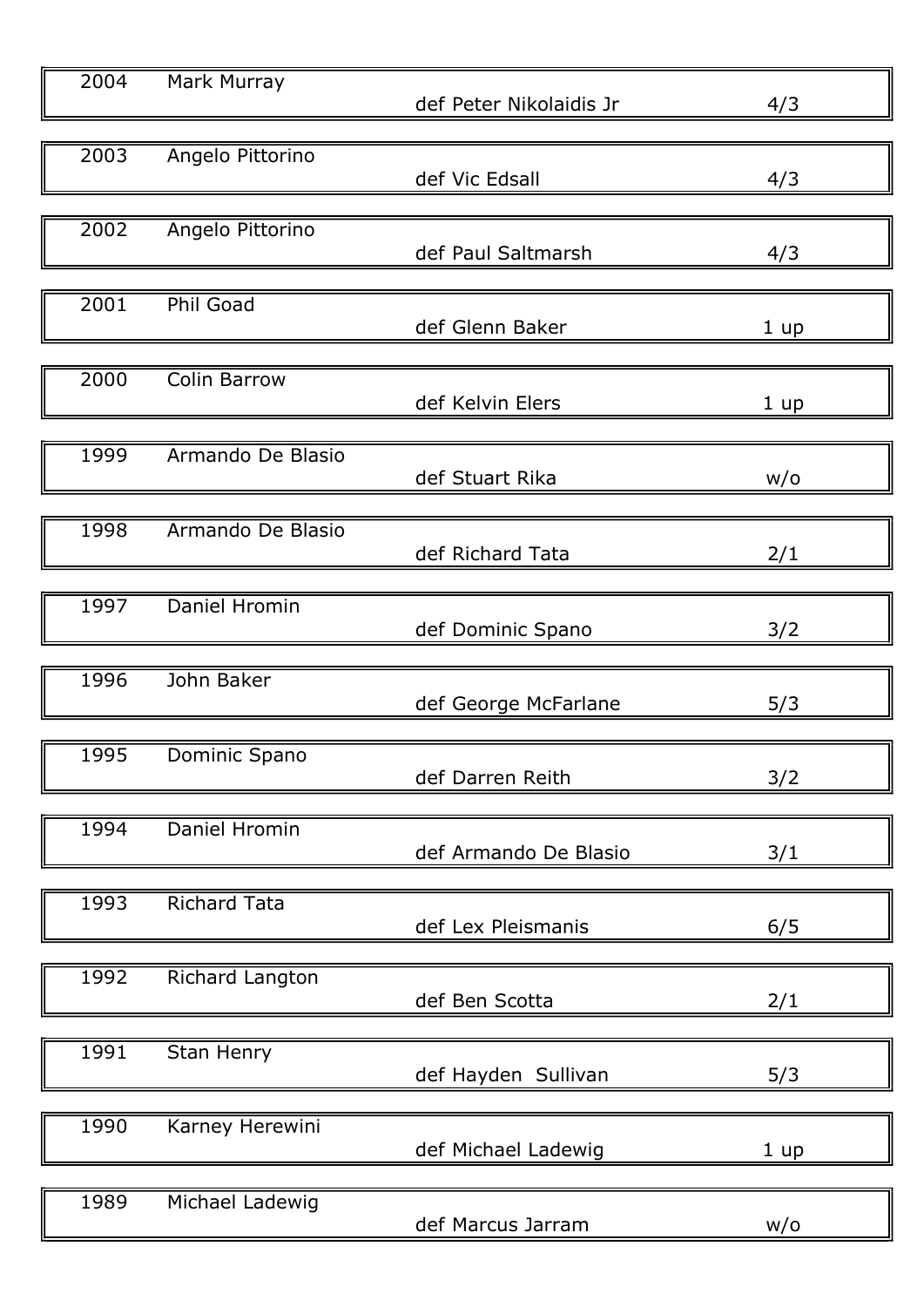| 2004 | <b>Mark Murray</b>  | def Peter Nikolaidis Jr | 4/3  |
|------|---------------------|-------------------------|------|
| 2003 | Angelo Pittorino    | def Vic Edsall          | 4/3  |
| 2002 | Angelo Pittorino    | def Paul Saltmarsh      | 4/3  |
| 2001 | <b>Phil Goad</b>    | def Glenn Baker         | 1 up |
| 2000 | <b>Colin Barrow</b> | def Kelvin Elers        | 1 up |
| 1999 | Armando De Blasio   | def Stuart Rika         | W/O  |
| 1998 | Armando De Blasio   | def Richard Tata        | 2/1  |
| 1997 | Daniel Hromin       | def Dominic Spano       | 3/2  |
| 1996 | John Baker          | def George McFarlane    | 5/3  |
| 1995 | Dominic Spano       | def Darren Reith        | 3/2  |
| 1994 | Daniel Hromin       | def Armando De Blasio   | 3/1  |
| 1993 | <b>Richard Tata</b> | def Lex Pleismanis      | 6/5  |
| 1992 | Richard Langton     | def Ben Scotta          | 2/1  |
| 1991 | Stan Henry          | def Hayden Sullivan     | 5/3  |
| 1990 | Karney Herewini     | def Michael Ladewig     | 1 up |
| 1989 | Michael Ladewig     | def Marcus Jarram       | w/o  |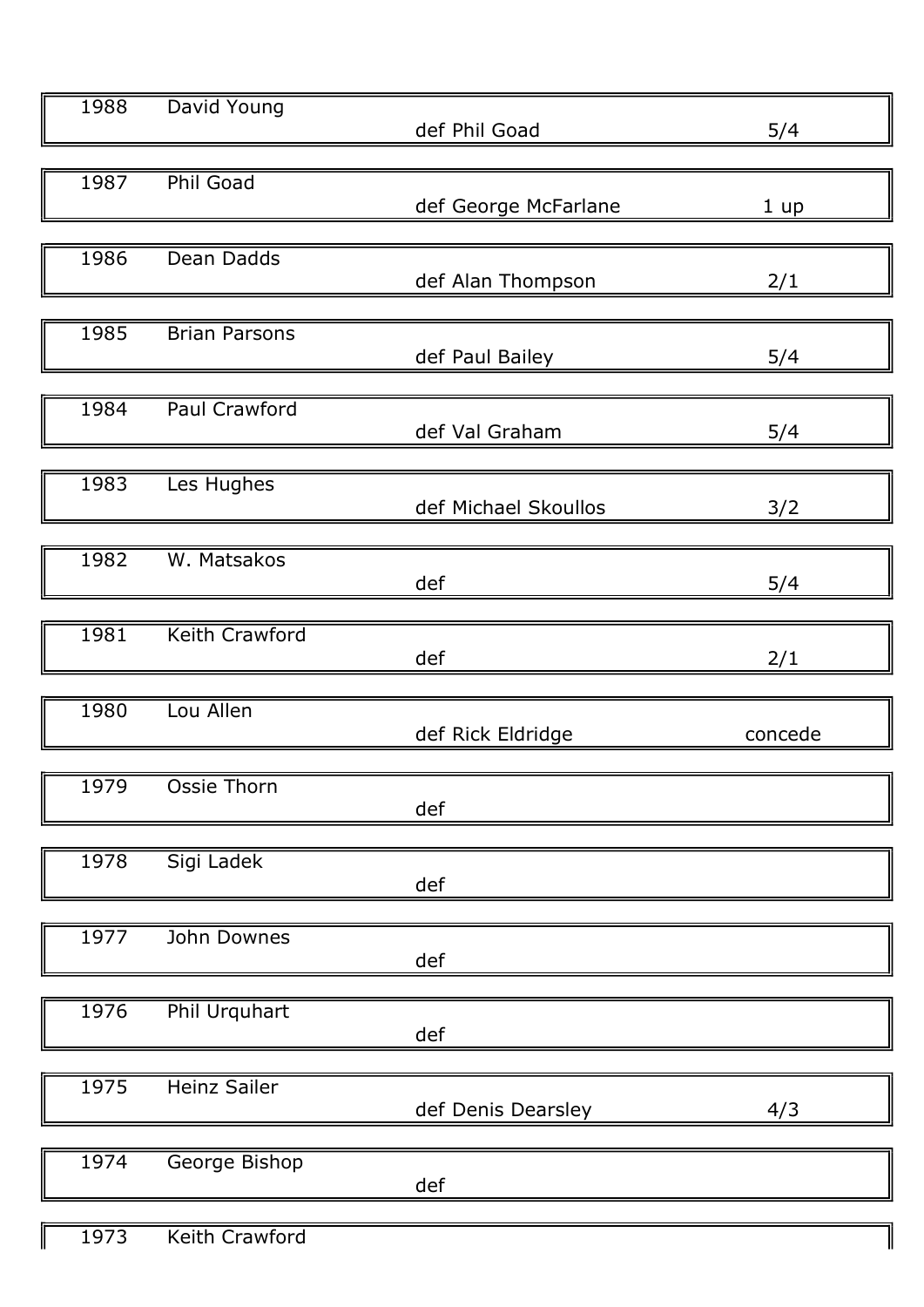| 1988<br>David Young<br>def Phil Goad    | 5/4     |
|-----------------------------------------|---------|
| <b>Phil Goad</b>                        |         |
| 1987<br>def George McFarlane            | 1 up    |
|                                         |         |
| 1986<br>Dean Dadds                      |         |
| def Alan Thompson                       | 2/1     |
| 1985<br><b>Brian Parsons</b>            |         |
| def Paul Bailey                         | 5/4     |
|                                         |         |
| Paul Crawford<br>1984<br>def Val Graham |         |
|                                         | 5/4     |
| 1983<br>Les Hughes                      |         |
| def Michael Skoullos                    | 3/2     |
|                                         |         |
| W. Matsakos<br>1982<br>def              | 5/4     |
|                                         |         |
| <b>Keith Crawford</b><br>1981           |         |
| def                                     | 2/1     |
| Lou Allen<br>1980                       |         |
| def Rick Eldridge                       | concede |
|                                         |         |
| 1979<br>Ossie Thorn                     |         |
| def                                     |         |
| Sigi Ladek<br>1978                      |         |
| def                                     |         |
|                                         |         |
| 1977<br>John Downes<br>def              |         |
|                                         |         |
| Phil Urquhart<br>1976                   |         |
| def                                     |         |
| 1975<br><b>Heinz Sailer</b>             |         |
| def Denis Dearsley                      | 4/3     |
|                                         |         |
| 1974<br>George Bishop                   |         |
| def                                     |         |
|                                         |         |